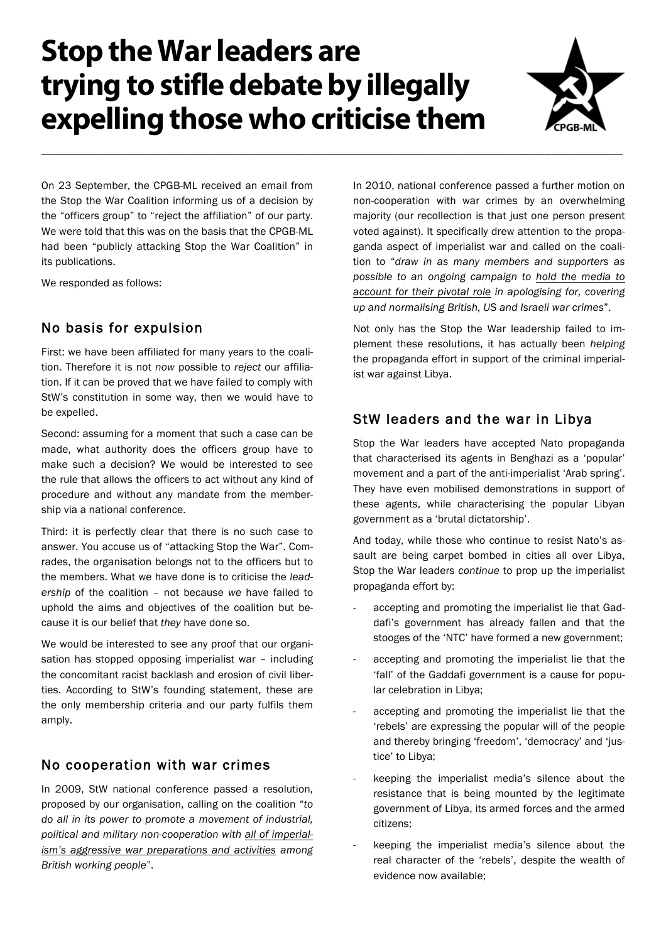# **Stop the War leaders are trying to stifle debate by illegally expelling those who criticise them**

\_\_\_\_\_\_\_\_\_\_\_\_\_\_\_\_\_\_\_\_\_\_\_\_\_\_\_\_\_\_\_\_\_\_\_\_\_\_\_\_\_\_\_\_\_\_\_\_\_\_\_\_\_\_\_\_\_\_\_\_\_\_\_\_\_\_\_\_\_\_\_\_\_\_\_\_\_\_\_\_\_\_\_\_\_\_\_\_\_\_\_\_\_\_\_\_\_\_\_\_\_\_\_\_\_\_



On 23 September, the CPGB-ML received an email from the Stop the War Coalition informing us of a decision by the "officers group" to "reject the affiliation" of our party. We were told that this was on the basis that the CPGB-ML had been "publicly attacking Stop the War Coalition" in its publications.

We responded as follows:

## No basis for expulsion

First: we have been affiliated for many years to the coalition. Therefore it is not *now* possible to *reject* our affiliation. If it can be proved that we have failed to comply with StW's constitution in some way, then we would have to be expelled.

Second: assuming for a moment that such a case can be made, what authority does the officers group have to make such a decision? We would be interested to see the rule that allows the officers to act without any kind of procedure and without any mandate from the membership via a national conference.

Third: it is perfectly clear that there is no such case to answer. You accuse us of "attacking Stop the War". Comrades, the organisation belongs not to the officers but to the members. What we have done is to criticise the *leadership* of the coalition – not because *we* have failed to uphold the aims and objectives of the coalition but because it is our belief that *they* have done so.

We would be interested to see any proof that our organisation has stopped opposing imperialist war – including the concomitant racist backlash and erosion of civil liberties. According to StW's founding statement, these are the only membership criteria and our party fulfils them amply.

## No cooperation with war crimes

In 2009, StW national conference passed a resolution, proposed by our organisation, calling on the coalition "*to do all in its power to promote a movement of industrial, political and military non-cooperation with all of imperialism's aggressive war preparations and activities among British working people*".

In 2010, national conference passed a further motion on non-cooperation with war crimes by an overwhelming majority (our recollection is that just one person present voted against). It specifically drew attention to the propaganda aspect of imperialist war and called on the coalition to "*draw in as many members and supporters as possible to an ongoing campaign to hold the media to account for their pivotal role in apologising for, covering up and normalising British, US and Israeli war crimes*".

Not only has the Stop the War leadership failed to implement these resolutions, it has actually been *helping* the propaganda effort in support of the criminal imperialist war against Libya.

## StW leaders and the war in Libya

Stop the War leaders have accepted Nato propaganda that characterised its agents in Benghazi as a 'popular' movement and a part of the anti-imperialist 'Arab spring'. They have even mobilised demonstrations in support of these agents, while characterising the popular Libyan government as a 'brutal dictatorship'.

And today, while those who continue to resist Nato's assault are being carpet bombed in cities all over Libya, Stop the War leaders *continue* to prop up the imperialist propaganda effort by:

- accepting and promoting the imperialist lie that Gaddafi's government has already fallen and that the stooges of the 'NTC' have formed a new government;
- accepting and promoting the imperialist lie that the 'fall' of the Gaddafi government is a cause for popular celebration in Libya;
- accepting and promoting the imperialist lie that the 'rebels' are expressing the popular will of the people and thereby bringing 'freedom', 'democracy' and 'justice' to Libya;
- keeping the imperialist media's silence about the resistance that is being mounted by the legitimate government of Libya, its armed forces and the armed citizens;
- keeping the imperialist media's silence about the real character of the 'rebels', despite the wealth of evidence now available;